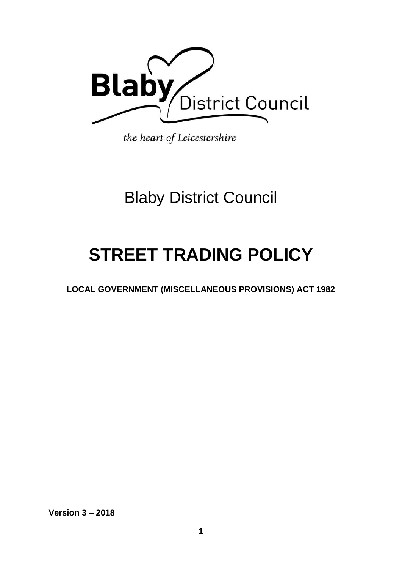

the heart of Leicestershire

## Blaby District Council

# **STREET TRADING POLICY**

**LOCAL GOVERNMENT (MISCELLANEOUS PROVISIONS) ACT 1982** 

**Version 3 – 2018**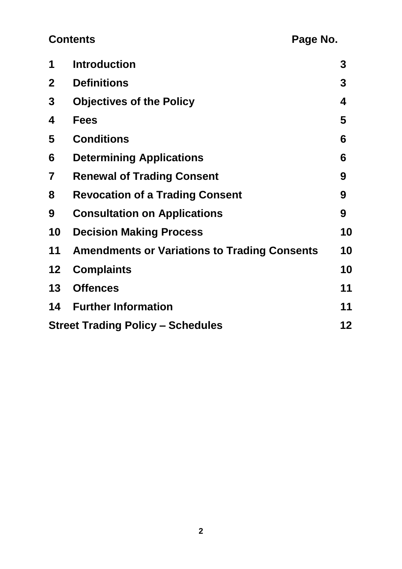### **Contents** Page No.

| 1                                        | <b>Introduction</b>                                 | 3  |
|------------------------------------------|-----------------------------------------------------|----|
| $\mathbf{2}$                             | <b>Definitions</b>                                  | 3  |
| 3                                        | <b>Objectives of the Policy</b>                     | 4  |
| 4                                        | <b>Fees</b>                                         | 5  |
| 5                                        | <b>Conditions</b>                                   | 6  |
| 6                                        | <b>Determining Applications</b>                     | 6  |
| 7                                        | <b>Renewal of Trading Consent</b>                   | 9  |
| 8                                        | <b>Revocation of a Trading Consent</b>              | 9  |
| 9                                        | <b>Consultation on Applications</b>                 | 9  |
| 10                                       | <b>Decision Making Process</b>                      | 10 |
| 11                                       | <b>Amendments or Variations to Trading Consents</b> | 10 |
| 12                                       | <b>Complaints</b>                                   | 10 |
| 13                                       | <b>Offences</b>                                     | 11 |
|                                          | <b>14 Further Information</b>                       | 11 |
| <b>Street Trading Policy - Schedules</b> |                                                     |    |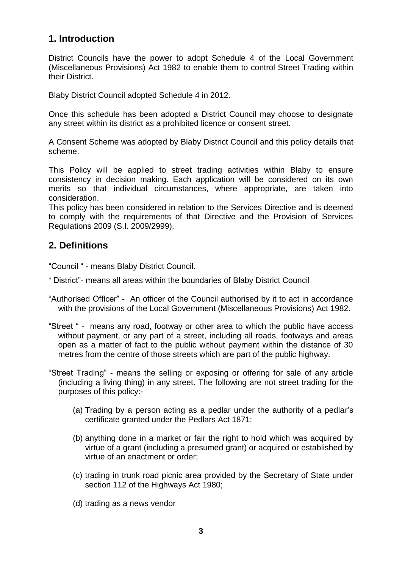#### **1. Introduction**

District Councils have the power to adopt Schedule 4 of the Local Government (Miscellaneous Provisions) Act 1982 to enable them to control Street Trading within their District.

Blaby District Council adopted Schedule 4 in 2012.

Once this schedule has been adopted a District Council may choose to designate any street within its district as a prohibited licence or consent street.

A Consent Scheme was adopted by Blaby District Council and this policy details that scheme.

This Policy will be applied to street trading activities within Blaby to ensure consistency in decision making. Each application will be considered on its own merits so that individual circumstances, where appropriate, are taken into consideration.

This policy has been considered in relation to the Services Directive and is deemed to comply with the requirements of that Directive and the Provision of Services Regulations 2009 (S.I. 2009/2999).

#### **2. Definitions**

"Council " - means Blaby District Council.

- " District"- means all areas within the boundaries of Blaby District Council
- "Authorised Officer" An officer of the Council authorised by it to act in accordance with the provisions of the Local Government (Miscellaneous Provisions) Act 1982.
- "Street " means any road, footway or other area to which the public have access without payment, or any part of a street, including all roads, footways and areas open as a matter of fact to the public without payment within the distance of 30 metres from the centre of those streets which are part of the public highway.
- "Street Trading" means the selling or exposing or offering for sale of any article (including a living thing) in any street. The following are not street trading for the purposes of this policy:-
	- (a) Trading by a person acting as a pedlar under the authority of a pedlar's certificate granted under the Pedlars Act 1871;
	- (b) anything done in a market or fair the right to hold which was acquired by virtue of a grant (including a presumed grant) or acquired or established by virtue of an enactment or order;
	- (c) trading in trunk road picnic area provided by the Secretary of State under section 112 of the Highways Act 1980:
	- (d) trading as a news vendor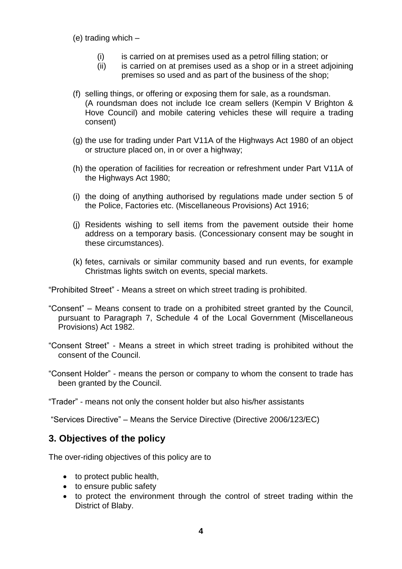(e) trading which –

- (i) is carried on at premises used as a petrol filling station; or
- (ii) is carried on at premises used as a shop or in a street adjoining premises so used and as part of the business of the shop;
- (f) selling things, or offering or exposing them for sale, as a roundsman. (A roundsman does not include Ice cream sellers (Kempin V Brighton & Hove Council) and mobile catering vehicles these will require a trading consent)
- (g) the use for trading under Part V11A of the Highways Act 1980 of an object or structure placed on, in or over a highway;
- (h) the operation of facilities for recreation or refreshment under Part V11A of the Highways Act 1980;
- (i) the doing of anything authorised by regulations made under section 5 of the Police, Factories etc. (Miscellaneous Provisions) Act 1916;
- (j) Residents wishing to sell items from the pavement outside their home address on a temporary basis. (Concessionary consent may be sought in these circumstances).
- (k) fetes, carnivals or similar community based and run events, for example Christmas lights switch on events, special markets.

"Prohibited Street" - Means a street on which street trading is prohibited.

- "Consent" Means consent to trade on a prohibited street granted by the Council, pursuant to Paragraph 7, Schedule 4 of the Local Government (Miscellaneous Provisions) Act 1982.
- "Consent Street" Means a street in which street trading is prohibited without the consent of the Council.
- "Consent Holder" means the person or company to whom the consent to trade has been granted by the Council.

"Trader" - means not only the consent holder but also his/her assistants

"Services Directive" – Means the Service Directive (Directive 2006/123/EC)

#### **3. Objectives of the policy**

The over-riding objectives of this policy are to

- to protect public health,
- to ensure public safety
- to protect the environment through the control of street trading within the District of Blaby.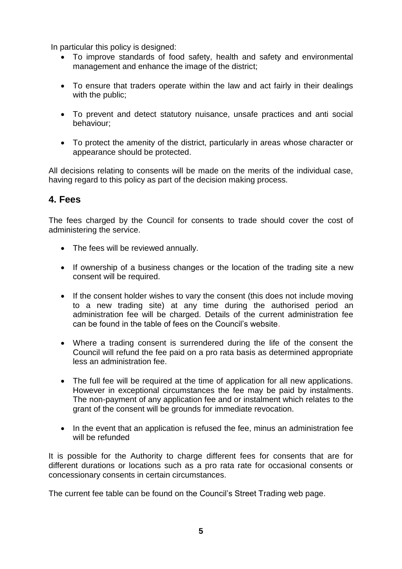In particular this policy is designed:

- To improve standards of food safety, health and safety and environmental management and enhance the image of the district;
- To ensure that traders operate within the law and act fairly in their dealings with the public;
- To prevent and detect statutory nuisance, unsafe practices and anti social behaviour;
- To protect the amenity of the district, particularly in areas whose character or appearance should be protected.

All decisions relating to consents will be made on the merits of the individual case, having regard to this policy as part of the decision making process.

#### **4. Fees**

The fees charged by the Council for consents to trade should cover the cost of administering the service.

- The fees will be reviewed annually.
- If ownership of a business changes or the location of the trading site a new consent will be required.
- If the consent holder wishes to vary the consent (this does not include moving to a new trading site) at any time during the authorised period an administration fee will be charged. Details of the current administration fee can be found in the table of fees on the Council's website.
- Where a trading consent is surrendered during the life of the consent the Council will refund the fee paid on a pro rata basis as determined appropriate less an administration fee.
- The full fee will be required at the time of application for all new applications. However in exceptional circumstances the fee may be paid by instalments. The non-payment of any application fee and or instalment which relates to the grant of the consent will be grounds for immediate revocation.
- In the event that an application is refused the fee, minus an administration fee will be refunded

It is possible for the Authority to charge different fees for consents that are for different durations or locations such as a pro rata rate for occasional consents or concessionary consents in certain circumstances.

The current fee table can be found on the Council's Street Trading web page.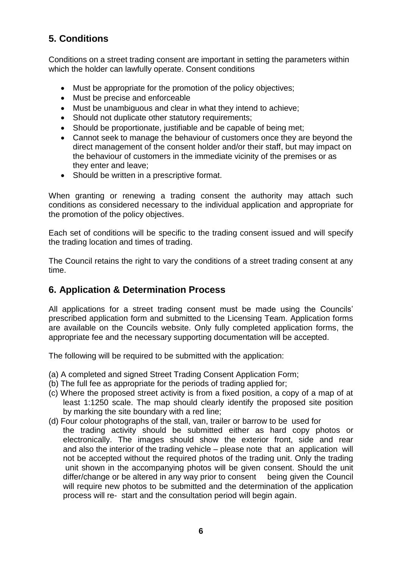#### **5. Conditions**

Conditions on a street trading consent are important in setting the parameters within which the holder can lawfully operate. Consent conditions

- Must be appropriate for the promotion of the policy objectives;
- Must be precise and enforceable
- Must be unambiguous and clear in what they intend to achieve;
- Should not duplicate other statutory requirements;
- Should be proportionate, justifiable and be capable of being met;
- Cannot seek to manage the behaviour of customers once they are beyond the direct management of the consent holder and/or their staff, but may impact on the behaviour of customers in the immediate vicinity of the premises or as they enter and leave;
- Should be written in a prescriptive format.

When granting or renewing a trading consent the authority may attach such conditions as considered necessary to the individual application and appropriate for the promotion of the policy objectives.

Each set of conditions will be specific to the trading consent issued and will specify the trading location and times of trading.

The Council retains the right to vary the conditions of a street trading consent at any time.

#### **6. Application & Determination Process**

All applications for a street trading consent must be made using the Councils' prescribed application form and submitted to the Licensing Team. Application forms are available on the Councils website. Only fully completed application forms, the appropriate fee and the necessary supporting documentation will be accepted.

The following will be required to be submitted with the application:

- (a) A completed and signed Street Trading Consent Application Form;
- (b) The full fee as appropriate for the periods of trading applied for;
- (c) Where the proposed street activity is from a fixed position, a copy of a map of at least 1:1250 scale. The map should clearly identify the proposed site position by marking the site boundary with a red line;
- (d) Four colour photographs of the stall, van, trailer or barrow to be used for the trading activity should be submitted either as hard copy photos or electronically. The images should show the exterior front, side and rear and also the interior of the trading vehicle – please note that an application will not be accepted without the required photos of the trading unit. Only the trading unit shown in the accompanying photos will be given consent. Should the unit differ/change or be altered in any way prior to consent being given the Council will require new photos to be submitted and the determination of the application process will re- start and the consultation period will begin again.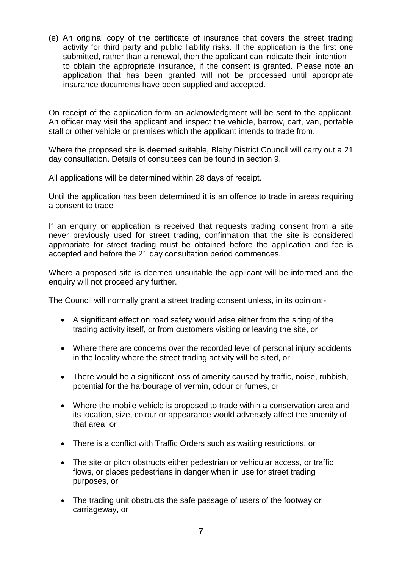(e) An original copy of the certificate of insurance that covers the street trading activity for third party and public liability risks. If the application is the first one submitted, rather than a renewal, then the applicant can indicate their intention to obtain the appropriate insurance, if the consent is granted. Please note an application that has been granted will not be processed until appropriate insurance documents have been supplied and accepted.

On receipt of the application form an acknowledgment will be sent to the applicant. An officer may visit the applicant and inspect the vehicle, barrow, cart, van, portable stall or other vehicle or premises which the applicant intends to trade from.

Where the proposed site is deemed suitable, Blaby District Council will carry out a 21 day consultation. Details of consultees can be found in section 9.

All applications will be determined within 28 days of receipt.

Until the application has been determined it is an offence to trade in areas requiring a consent to trade

If an enquiry or application is received that requests trading consent from a site never previously used for street trading, confirmation that the site is considered appropriate for street trading must be obtained before the application and fee is accepted and before the 21 day consultation period commences.

Where a proposed site is deemed unsuitable the applicant will be informed and the enquiry will not proceed any further.

The Council will normally grant a street trading consent unless, in its opinion:-

- A significant effect on road safety would arise either from the siting of the trading activity itself, or from customers visiting or leaving the site, or
- Where there are concerns over the recorded level of personal injury accidents in the locality where the street trading activity will be sited, or
- There would be a significant loss of amenity caused by traffic, noise, rubbish, potential for the harbourage of vermin, odour or fumes, or
- Where the mobile vehicle is proposed to trade within a conservation area and its location, size, colour or appearance would adversely affect the amenity of that area, or
- There is a conflict with Traffic Orders such as waiting restrictions, or
- The site or pitch obstructs either pedestrian or vehicular access, or traffic flows, or places pedestrians in danger when in use for street trading purposes, or
- The trading unit obstructs the safe passage of users of the footway or carriageway, or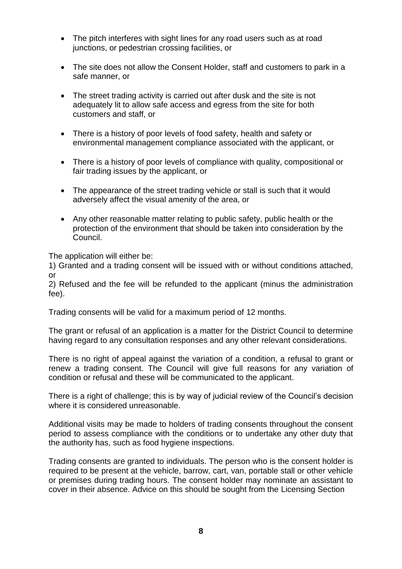- The pitch interferes with sight lines for any road users such as at road junctions, or pedestrian crossing facilities, or
- The site does not allow the Consent Holder, staff and customers to park in a safe manner, or
- The street trading activity is carried out after dusk and the site is not adequately lit to allow safe access and egress from the site for both customers and staff, or
- There is a history of poor levels of food safety, health and safety or environmental management compliance associated with the applicant, or
- There is a history of poor levels of compliance with quality, compositional or fair trading issues by the applicant, or
- The appearance of the street trading vehicle or stall is such that it would adversely affect the visual amenity of the area, or
- Any other reasonable matter relating to public safety, public health or the protection of the environment that should be taken into consideration by the Council.

The application will either be:

1) Granted and a trading consent will be issued with or without conditions attached, or

2) Refused and the fee will be refunded to the applicant (minus the administration fee).

Trading consents will be valid for a maximum period of 12 months.

The grant or refusal of an application is a matter for the District Council to determine having regard to any consultation responses and any other relevant considerations.

There is no right of appeal against the variation of a condition, a refusal to grant or renew a trading consent. The Council will give full reasons for any variation of condition or refusal and these will be communicated to the applicant.

There is a right of challenge; this is by way of judicial review of the Council's decision where it is considered unreasonable.

Additional visits may be made to holders of trading consents throughout the consent period to assess compliance with the conditions or to undertake any other duty that the authority has, such as food hygiene inspections.

Trading consents are granted to individuals. The person who is the consent holder is required to be present at the vehicle, barrow, cart, van, portable stall or other vehicle or premises during trading hours. The consent holder may nominate an assistant to cover in their absence. Advice on this should be sought from the Licensing Section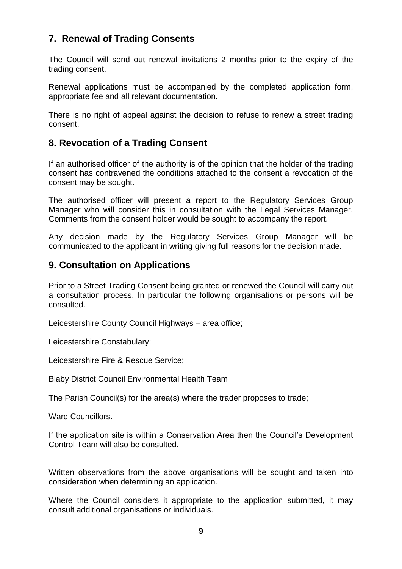#### **7. Renewal of Trading Consents**

The Council will send out renewal invitations 2 months prior to the expiry of the trading consent.

Renewal applications must be accompanied by the completed application form, appropriate fee and all relevant documentation.

There is no right of appeal against the decision to refuse to renew a street trading consent.

#### **8. Revocation of a Trading Consent**

If an authorised officer of the authority is of the opinion that the holder of the trading consent has contravened the conditions attached to the consent a revocation of the consent may be sought.

The authorised officer will present a report to the Regulatory Services Group Manager who will consider this in consultation with the Legal Services Manager. Comments from the consent holder would be sought to accompany the report.

Any decision made by the Regulatory Services Group Manager will be communicated to the applicant in writing giving full reasons for the decision made.

#### **9. Consultation on Applications**

Prior to a Street Trading Consent being granted or renewed the Council will carry out a consultation process. In particular the following organisations or persons will be consulted.

Leicestershire County Council Highways – area office;

Leicestershire Constabulary;

Leicestershire Fire & Rescue Service;

Blaby District Council Environmental Health Team

The Parish Council(s) for the area(s) where the trader proposes to trade;

Ward Councillors.

If the application site is within a Conservation Area then the Council's Development Control Team will also be consulted.

Written observations from the above organisations will be sought and taken into consideration when determining an application.

Where the Council considers it appropriate to the application submitted, it may consult additional organisations or individuals.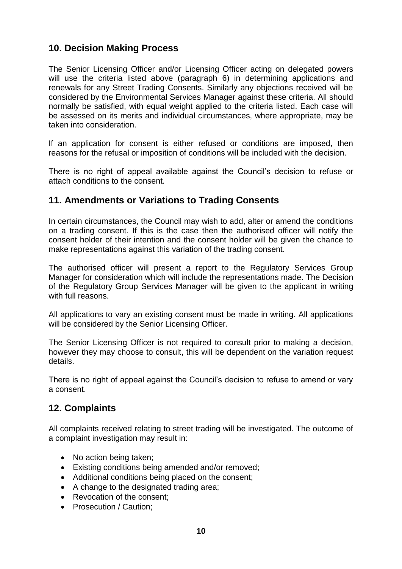#### **10. Decision Making Process**

The Senior Licensing Officer and/or Licensing Officer acting on delegated powers will use the criteria listed above (paragraph 6) in determining applications and renewals for any Street Trading Consents. Similarly any objections received will be considered by the Environmental Services Manager against these criteria. All should normally be satisfied, with equal weight applied to the criteria listed. Each case will be assessed on its merits and individual circumstances, where appropriate, may be taken into consideration.

If an application for consent is either refused or conditions are imposed, then reasons for the refusal or imposition of conditions will be included with the decision.

There is no right of appeal available against the Council's decision to refuse or attach conditions to the consent.

#### **11. Amendments or Variations to Trading Consents**

In certain circumstances, the Council may wish to add, alter or amend the conditions on a trading consent. If this is the case then the authorised officer will notify the consent holder of their intention and the consent holder will be given the chance to make representations against this variation of the trading consent.

The authorised officer will present a report to the Regulatory Services Group Manager for consideration which will include the representations made. The Decision of the Regulatory Group Services Manager will be given to the applicant in writing with full reasons.

All applications to vary an existing consent must be made in writing. All applications will be considered by the Senior Licensing Officer.

The Senior Licensing Officer is not required to consult prior to making a decision, however they may choose to consult, this will be dependent on the variation request details.

There is no right of appeal against the Council's decision to refuse to amend or vary a consent.

#### **12. Complaints**

All complaints received relating to street trading will be investigated. The outcome of a complaint investigation may result in:

- No action being taken:
- Existing conditions being amended and/or removed;
- Additional conditions being placed on the consent;
- A change to the designated trading area;
- Revocation of the consent:
- Prosecution / Caution: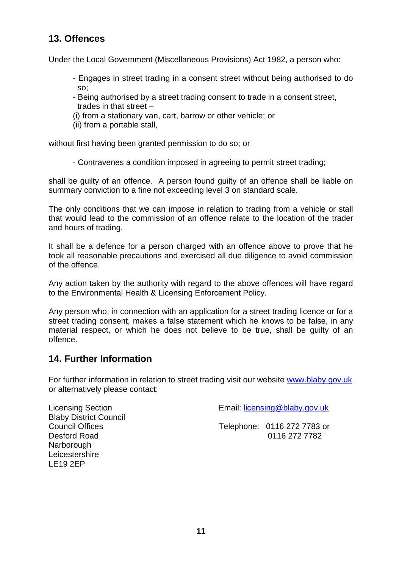#### **13. Offences**

Under the Local Government (Miscellaneous Provisions) Act 1982, a person who:

- Engages in street trading in a consent street without being authorised to do so;
- Being authorised by a street trading consent to trade in a consent street, trades in that street –
- (i) from a stationary van, cart, barrow or other vehicle; or
- (ii) from a portable stall,

without first having been granted permission to do so; or

- Contravenes a condition imposed in agreeing to permit street trading;

shall be guilty of an offence. A person found guilty of an offence shall be liable on summary conviction to a fine not exceeding level 3 on standard scale.

The only conditions that we can impose in relation to trading from a vehicle or stall that would lead to the commission of an offence relate to the location of the trader and hours of trading.

It shall be a defence for a person charged with an offence above to prove that he took all reasonable precautions and exercised all due diligence to avoid commission of the offence.

Any action taken by the authority with regard to the above offences will have regard to the Environmental Health & Licensing Enforcement Policy.

Any person who, in connection with an application for a street trading licence or for a street trading consent, makes a false statement which he knows to be false, in any material respect, or which he does not believe to be true, shall be guilty of an offence.

#### **14. Further Information**

LE19 2EP

For further information in relation to street trading visit our website [www.blaby.gov.uk](http://www.blaby.gov.uk/) or alternatively please contact:

| <b>Licensing Section</b><br><b>Blaby District Council</b> | Email: licensing@blaby.gov.uk |                             |  |
|-----------------------------------------------------------|-------------------------------|-----------------------------|--|
| <b>Council Offices</b>                                    |                               | Telephone: 0116 272 7783 or |  |
| Desford Road                                              |                               | 0116 272 7782               |  |
| Narborough                                                |                               |                             |  |
| Leicestershire                                            |                               |                             |  |